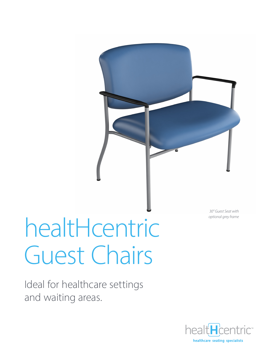

Ideal for healthcare settings and waiting areas.